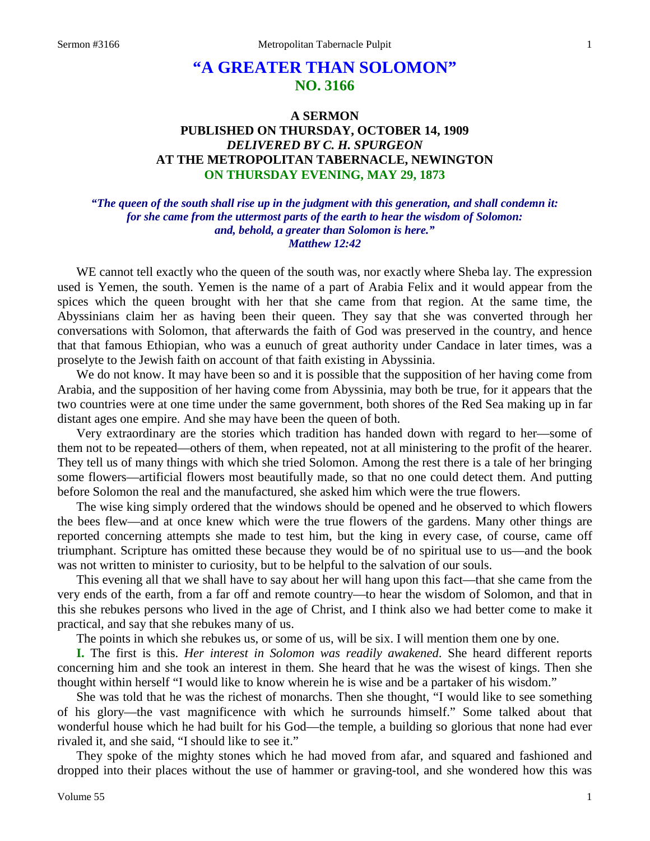# **"A GREATER THAN SOLOMON" NO. 3166**

## **A SERMON PUBLISHED ON THURSDAY, OCTOBER 14, 1909** *DELIVERED BY C. H. SPURGEON* **AT THE METROPOLITAN TABERNACLE, NEWINGTON ON THURSDAY EVENING, MAY 29, 1873**

### *"The queen of the south shall rise up in the judgment with this generation, and shall condemn it: for she came from the uttermost parts of the earth to hear the wisdom of Solomon: and, behold, a greater than Solomon is here." Matthew 12:42*

WE cannot tell exactly who the queen of the south was, nor exactly where Sheba lay. The expression used is Yemen, the south. Yemen is the name of a part of Arabia Felix and it would appear from the spices which the queen brought with her that she came from that region. At the same time, the Abyssinians claim her as having been their queen. They say that she was converted through her conversations with Solomon, that afterwards the faith of God was preserved in the country, and hence that that famous Ethiopian, who was a eunuch of great authority under Candace in later times, was a proselyte to the Jewish faith on account of that faith existing in Abyssinia.

We do not know. It may have been so and it is possible that the supposition of her having come from Arabia, and the supposition of her having come from Abyssinia, may both be true, for it appears that the two countries were at one time under the same government, both shores of the Red Sea making up in far distant ages one empire. And she may have been the queen of both.

Very extraordinary are the stories which tradition has handed down with regard to her—some of them not to be repeated—others of them, when repeated, not at all ministering to the profit of the hearer. They tell us of many things with which she tried Solomon. Among the rest there is a tale of her bringing some flowers—artificial flowers most beautifully made, so that no one could detect them. And putting before Solomon the real and the manufactured, she asked him which were the true flowers.

The wise king simply ordered that the windows should be opened and he observed to which flowers the bees flew—and at once knew which were the true flowers of the gardens. Many other things are reported concerning attempts she made to test him, but the king in every case, of course, came off triumphant. Scripture has omitted these because they would be of no spiritual use to us—and the book was not written to minister to curiosity, but to be helpful to the salvation of our souls.

This evening all that we shall have to say about her will hang upon this fact—that she came from the very ends of the earth, from a far off and remote country—to hear the wisdom of Solomon, and that in this she rebukes persons who lived in the age of Christ, and I think also we had better come to make it practical, and say that she rebukes many of us.

The points in which she rebukes us, or some of us, will be six. I will mention them one by one.

**I.** The first is this. *Her interest in Solomon was readily awakened*. She heard different reports concerning him and she took an interest in them. She heard that he was the wisest of kings. Then she thought within herself "I would like to know wherein he is wise and be a partaker of his wisdom."

She was told that he was the richest of monarchs. Then she thought, "I would like to see something of his glory—the vast magnificence with which he surrounds himself." Some talked about that wonderful house which he had built for his God—the temple, a building so glorious that none had ever rivaled it, and she said, "I should like to see it."

They spoke of the mighty stones which he had moved from afar, and squared and fashioned and dropped into their places without the use of hammer or graving-tool, and she wondered how this was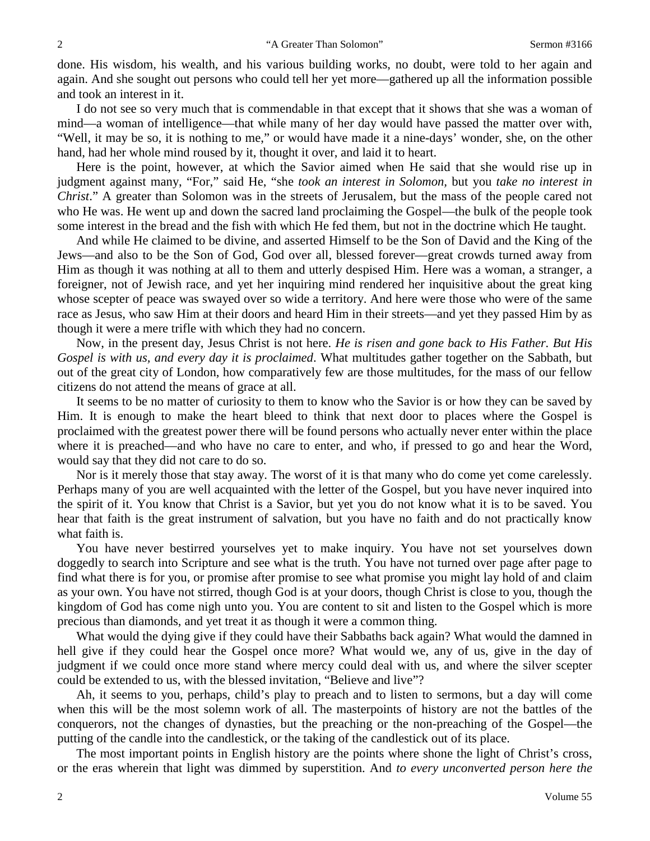done. His wisdom, his wealth, and his various building works, no doubt, were told to her again and again. And she sought out persons who could tell her yet more—gathered up all the information possible and took an interest in it.

I do not see so very much that is commendable in that except that it shows that she was a woman of mind—a woman of intelligence—that while many of her day would have passed the matter over with, "Well, it may be so, it is nothing to me," or would have made it a nine-days' wonder, she, on the other hand, had her whole mind roused by it, thought it over, and laid it to heart.

Here is the point, however, at which the Savior aimed when He said that she would rise up in judgment against many, "For," said He, "she *took an interest in Solomon,* but you *take no interest in Christ*." A greater than Solomon was in the streets of Jerusalem, but the mass of the people cared not who He was. He went up and down the sacred land proclaiming the Gospel—the bulk of the people took some interest in the bread and the fish with which He fed them, but not in the doctrine which He taught.

And while He claimed to be divine, and asserted Himself to be the Son of David and the King of the Jews—and also to be the Son of God, God over all, blessed forever—great crowds turned away from Him as though it was nothing at all to them and utterly despised Him. Here was a woman, a stranger, a foreigner, not of Jewish race, and yet her inquiring mind rendered her inquisitive about the great king whose scepter of peace was swayed over so wide a territory. And here were those who were of the same race as Jesus, who saw Him at their doors and heard Him in their streets—and yet they passed Him by as though it were a mere trifle with which they had no concern.

Now, in the present day, Jesus Christ is not here. *He is risen and gone back to His Father. But His Gospel is with us, and every day it is proclaimed*. What multitudes gather together on the Sabbath, but out of the great city of London, how comparatively few are those multitudes, for the mass of our fellow citizens do not attend the means of grace at all.

It seems to be no matter of curiosity to them to know who the Savior is or how they can be saved by Him. It is enough to make the heart bleed to think that next door to places where the Gospel is proclaimed with the greatest power there will be found persons who actually never enter within the place where it is preached—and who have no care to enter, and who, if pressed to go and hear the Word, would say that they did not care to do so.

Nor is it merely those that stay away. The worst of it is that many who do come yet come carelessly. Perhaps many of you are well acquainted with the letter of the Gospel, but you have never inquired into the spirit of it. You know that Christ is a Savior, but yet you do not know what it is to be saved. You hear that faith is the great instrument of salvation, but you have no faith and do not practically know what faith is.

You have never bestirred yourselves yet to make inquiry. You have not set yourselves down doggedly to search into Scripture and see what is the truth. You have not turned over page after page to find what there is for you, or promise after promise to see what promise you might lay hold of and claim as your own. You have not stirred, though God is at your doors, though Christ is close to you, though the kingdom of God has come nigh unto you. You are content to sit and listen to the Gospel which is more precious than diamonds, and yet treat it as though it were a common thing.

What would the dying give if they could have their Sabbaths back again? What would the damned in hell give if they could hear the Gospel once more? What would we, any of us, give in the day of judgment if we could once more stand where mercy could deal with us, and where the silver scepter could be extended to us, with the blessed invitation, "Believe and live"?

Ah, it seems to you, perhaps, child's play to preach and to listen to sermons, but a day will come when this will be the most solemn work of all. The masterpoints of history are not the battles of the conquerors, not the changes of dynasties, but the preaching or the non-preaching of the Gospel—the putting of the candle into the candlestick, or the taking of the candlestick out of its place.

The most important points in English history are the points where shone the light of Christ's cross, or the eras wherein that light was dimmed by superstition. And *to every unconverted person here the*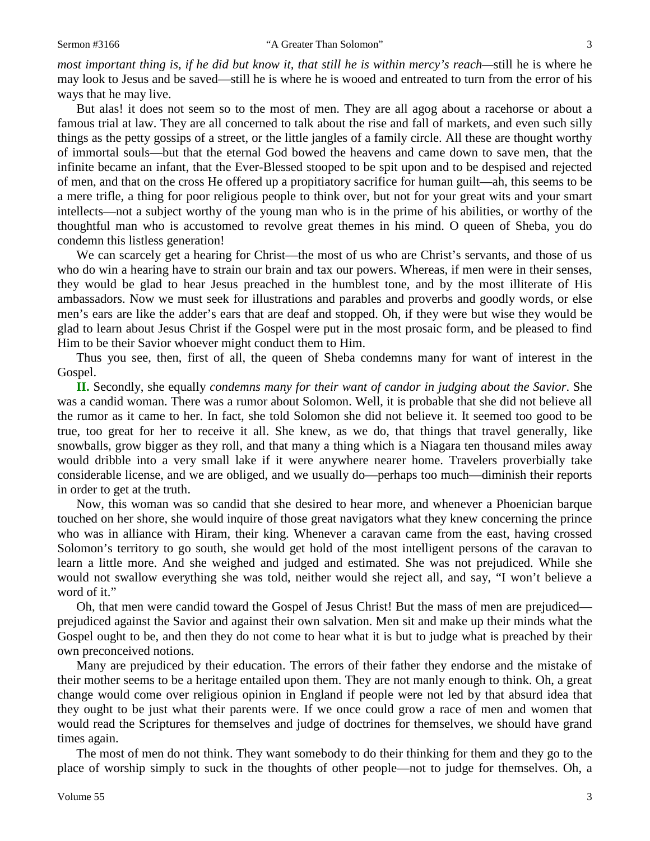*most important thing is, if he did but know it, that still he is within mercy's reach—*still he is where he may look to Jesus and be saved—still he is where he is wooed and entreated to turn from the error of his ways that he may live.

But alas! it does not seem so to the most of men. They are all agog about a racehorse or about a famous trial at law. They are all concerned to talk about the rise and fall of markets, and even such silly things as the petty gossips of a street, or the little jangles of a family circle. All these are thought worthy of immortal souls—but that the eternal God bowed the heavens and came down to save men, that the infinite became an infant, that the Ever-Blessed stooped to be spit upon and to be despised and rejected of men, and that on the cross He offered up a propitiatory sacrifice for human guilt—ah, this seems to be a mere trifle, a thing for poor religious people to think over, but not for your great wits and your smart intellects—not a subject worthy of the young man who is in the prime of his abilities, or worthy of the thoughtful man who is accustomed to revolve great themes in his mind. O queen of Sheba, you do condemn this listless generation!

We can scarcely get a hearing for Christ—the most of us who are Christ's servants, and those of us who do win a hearing have to strain our brain and tax our powers. Whereas, if men were in their senses, they would be glad to hear Jesus preached in the humblest tone, and by the most illiterate of His ambassadors. Now we must seek for illustrations and parables and proverbs and goodly words, or else men's ears are like the adder's ears that are deaf and stopped. Oh, if they were but wise they would be glad to learn about Jesus Christ if the Gospel were put in the most prosaic form, and be pleased to find Him to be their Savior whoever might conduct them to Him.

Thus you see, then, first of all, the queen of Sheba condemns many for want of interest in the Gospel.

**II.** Secondly, she equally *condemns many for their want of candor in judging about the Savior*. She was a candid woman. There was a rumor about Solomon. Well, it is probable that she did not believe all the rumor as it came to her. In fact, she told Solomon she did not believe it. It seemed too good to be true, too great for her to receive it all. She knew, as we do, that things that travel generally, like snowballs, grow bigger as they roll, and that many a thing which is a Niagara ten thousand miles away would dribble into a very small lake if it were anywhere nearer home. Travelers proverbially take considerable license, and we are obliged, and we usually do—perhaps too much—diminish their reports in order to get at the truth.

Now, this woman was so candid that she desired to hear more, and whenever a Phoenician barque touched on her shore, she would inquire of those great navigators what they knew concerning the prince who was in alliance with Hiram, their king. Whenever a caravan came from the east, having crossed Solomon's territory to go south, she would get hold of the most intelligent persons of the caravan to learn a little more. And she weighed and judged and estimated. She was not prejudiced. While she would not swallow everything she was told, neither would she reject all, and say, "I won't believe a word of it."

Oh, that men were candid toward the Gospel of Jesus Christ! But the mass of men are prejudiced prejudiced against the Savior and against their own salvation. Men sit and make up their minds what the Gospel ought to be, and then they do not come to hear what it is but to judge what is preached by their own preconceived notions.

Many are prejudiced by their education. The errors of their father they endorse and the mistake of their mother seems to be a heritage entailed upon them. They are not manly enough to think. Oh, a great change would come over religious opinion in England if people were not led by that absurd idea that they ought to be just what their parents were. If we once could grow a race of men and women that would read the Scriptures for themselves and judge of doctrines for themselves, we should have grand times again.

The most of men do not think. They want somebody to do their thinking for them and they go to the place of worship simply to suck in the thoughts of other people—not to judge for themselves. Oh, a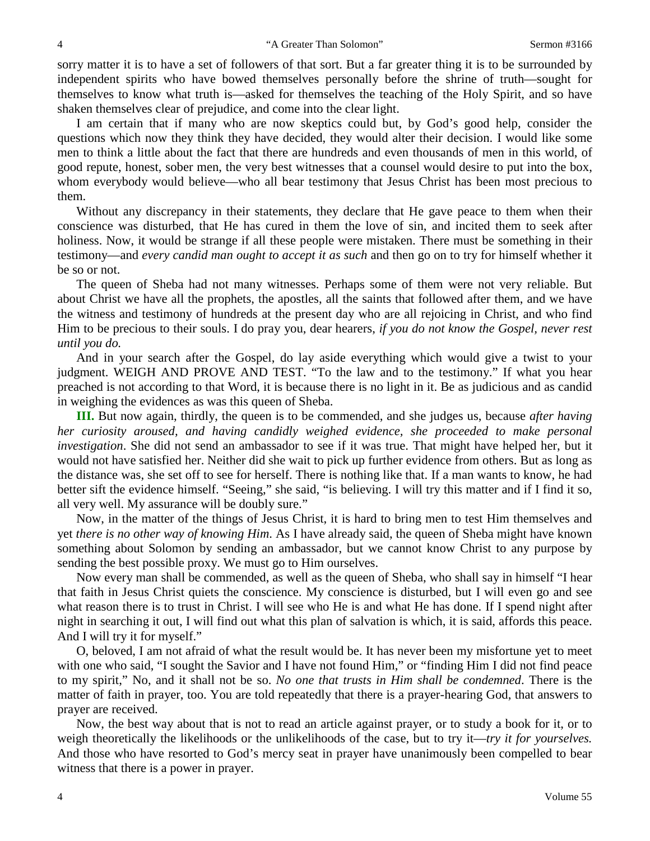sorry matter it is to have a set of followers of that sort. But a far greater thing it is to be surrounded by independent spirits who have bowed themselves personally before the shrine of truth—sought for themselves to know what truth is—asked for themselves the teaching of the Holy Spirit, and so have shaken themselves clear of prejudice, and come into the clear light.

I am certain that if many who are now skeptics could but, by God's good help, consider the questions which now they think they have decided, they would alter their decision. I would like some men to think a little about the fact that there are hundreds and even thousands of men in this world, of good repute, honest, sober men, the very best witnesses that a counsel would desire to put into the box, whom everybody would believe—who all bear testimony that Jesus Christ has been most precious to them.

Without any discrepancy in their statements, they declare that He gave peace to them when their conscience was disturbed, that He has cured in them the love of sin, and incited them to seek after holiness. Now, it would be strange if all these people were mistaken. There must be something in their testimony—and *every candid man ought to accept it as such* and then go on to try for himself whether it be so or not.

The queen of Sheba had not many witnesses. Perhaps some of them were not very reliable. But about Christ we have all the prophets, the apostles, all the saints that followed after them, and we have the witness and testimony of hundreds at the present day who are all rejoicing in Christ, and who find Him to be precious to their souls. I do pray you, dear hearers, *if you do not know the Gospel, never rest until you do.*

And in your search after the Gospel, do lay aside everything which would give a twist to your judgment. WEIGH AND PROVE AND TEST. "To the law and to the testimony." If what you hear preached is not according to that Word, it is because there is no light in it. Be as judicious and as candid in weighing the evidences as was this queen of Sheba.

**III.** But now again, thirdly, the queen is to be commended, and she judges us, because *after having her curiosity aroused, and having candidly weighed evidence, she proceeded to make personal investigation*. She did not send an ambassador to see if it was true. That might have helped her, but it would not have satisfied her. Neither did she wait to pick up further evidence from others. But as long as the distance was, she set off to see for herself. There is nothing like that. If a man wants to know, he had better sift the evidence himself. "Seeing," she said, "is believing. I will try this matter and if I find it so, all very well. My assurance will be doubly sure."

Now, in the matter of the things of Jesus Christ, it is hard to bring men to test Him themselves and yet *there is no other way of knowing Him*. As I have already said, the queen of Sheba might have known something about Solomon by sending an ambassador, but we cannot know Christ to any purpose by sending the best possible proxy. We must go to Him ourselves.

Now every man shall be commended, as well as the queen of Sheba, who shall say in himself "I hear that faith in Jesus Christ quiets the conscience. My conscience is disturbed, but I will even go and see what reason there is to trust in Christ. I will see who He is and what He has done. If I spend night after night in searching it out, I will find out what this plan of salvation is which, it is said, affords this peace. And I will try it for myself."

O, beloved, I am not afraid of what the result would be. It has never been my misfortune yet to meet with one who said, "I sought the Savior and I have not found Him," or "finding Him I did not find peace to my spirit," No, and it shall not be so. *No one that trusts in Him shall be condemned*. There is the matter of faith in prayer, too. You are told repeatedly that there is a prayer-hearing God, that answers to prayer are received.

Now, the best way about that is not to read an article against prayer, or to study a book for it, or to weigh theoretically the likelihoods or the unlikelihoods of the case, but to try it—*try it for yourselves.* And those who have resorted to God's mercy seat in prayer have unanimously been compelled to bear witness that there is a power in prayer.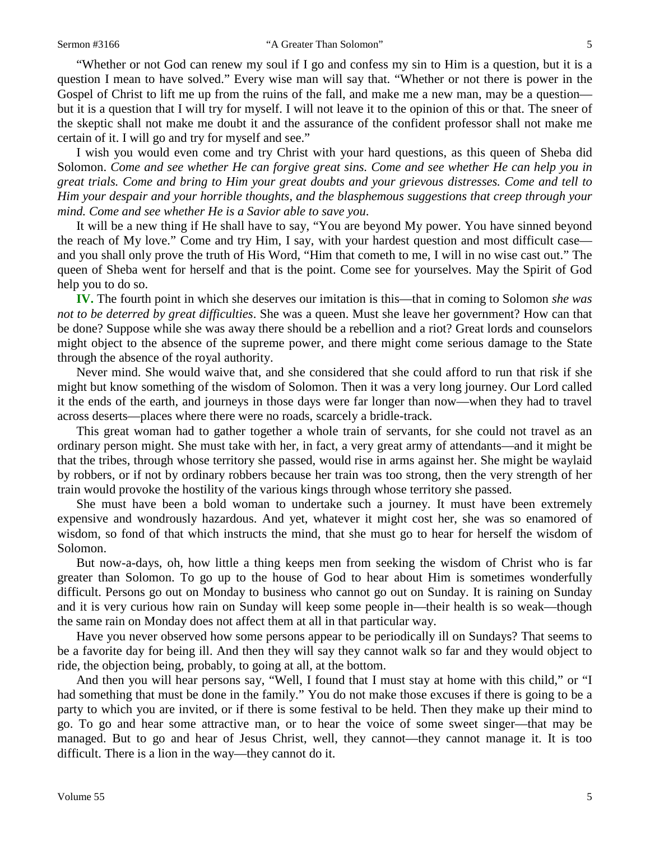"Whether or not God can renew my soul if I go and confess my sin to Him is a question, but it is a question I mean to have solved." Every wise man will say that. "Whether or not there is power in the Gospel of Christ to lift me up from the ruins of the fall, and make me a new man, may be a question but it is a question that I will try for myself. I will not leave it to the opinion of this or that. The sneer of the skeptic shall not make me doubt it and the assurance of the confident professor shall not make me certain of it. I will go and try for myself and see."

I wish you would even come and try Christ with your hard questions, as this queen of Sheba did Solomon. *Come and see whether He can forgive great sins. Come and see whether He can help you in great trials. Come and bring to Him your great doubts and your grievous distresses. Come and tell to Him your despair and your horrible thoughts, and the blasphemous suggestions that creep through your mind. Come and see whether He is a Savior able to save you*.

It will be a new thing if He shall have to say, "You are beyond My power. You have sinned beyond the reach of My love." Come and try Him, I say, with your hardest question and most difficult case and you shall only prove the truth of His Word, "Him that cometh to me, I will in no wise cast out." The queen of Sheba went for herself and that is the point. Come see for yourselves. May the Spirit of God help you to do so.

**IV.** The fourth point in which she deserves our imitation is this—that in coming to Solomon *she was not to be deterred by great difficulties*. She was a queen. Must she leave her government? How can that be done? Suppose while she was away there should be a rebellion and a riot? Great lords and counselors might object to the absence of the supreme power, and there might come serious damage to the State through the absence of the royal authority.

Never mind. She would waive that, and she considered that she could afford to run that risk if she might but know something of the wisdom of Solomon. Then it was a very long journey. Our Lord called it the ends of the earth, and journeys in those days were far longer than now—when they had to travel across deserts—places where there were no roads, scarcely a bridle-track.

This great woman had to gather together a whole train of servants, for she could not travel as an ordinary person might. She must take with her, in fact, a very great army of attendants—and it might be that the tribes, through whose territory she passed, would rise in arms against her. She might be waylaid by robbers, or if not by ordinary robbers because her train was too strong, then the very strength of her train would provoke the hostility of the various kings through whose territory she passed.

She must have been a bold woman to undertake such a journey. It must have been extremely expensive and wondrously hazardous. And yet, whatever it might cost her, she was so enamored of wisdom, so fond of that which instructs the mind, that she must go to hear for herself the wisdom of Solomon.

But now-a-days, oh, how little a thing keeps men from seeking the wisdom of Christ who is far greater than Solomon. To go up to the house of God to hear about Him is sometimes wonderfully difficult. Persons go out on Monday to business who cannot go out on Sunday. It is raining on Sunday and it is very curious how rain on Sunday will keep some people in—their health is so weak—though the same rain on Monday does not affect them at all in that particular way.

Have you never observed how some persons appear to be periodically ill on Sundays? That seems to be a favorite day for being ill. And then they will say they cannot walk so far and they would object to ride, the objection being, probably, to going at all, at the bottom.

And then you will hear persons say, "Well, I found that I must stay at home with this child," or "I had something that must be done in the family." You do not make those excuses if there is going to be a party to which you are invited, or if there is some festival to be held. Then they make up their mind to go. To go and hear some attractive man, or to hear the voice of some sweet singer—that may be managed. But to go and hear of Jesus Christ, well, they cannot—they cannot manage it. It is too difficult. There is a lion in the way—they cannot do it.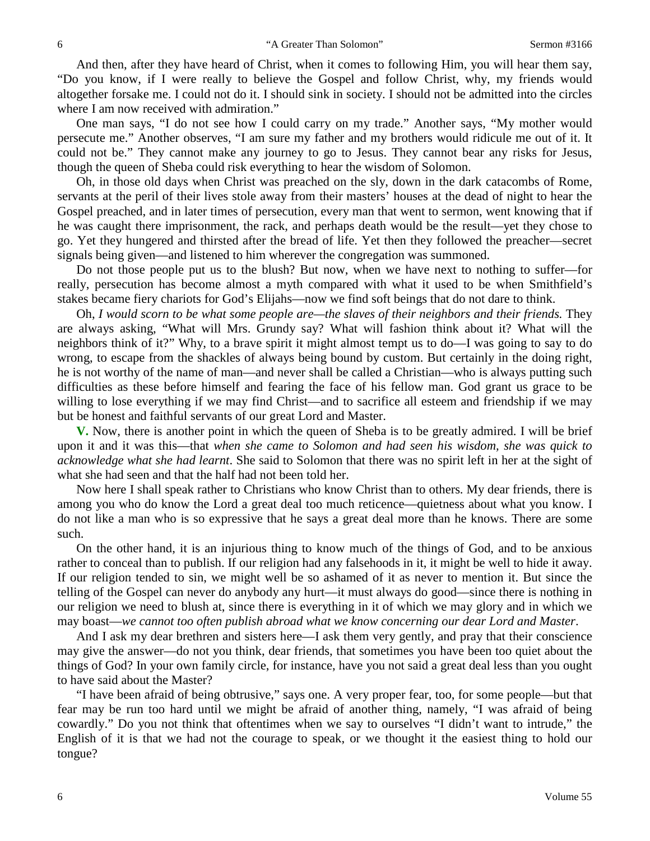And then, after they have heard of Christ, when it comes to following Him, you will hear them say, "Do you know, if I were really to believe the Gospel and follow Christ, why, my friends would altogether forsake me. I could not do it. I should sink in society. I should not be admitted into the circles where I am now received with admiration."

One man says, "I do not see how I could carry on my trade." Another says, "My mother would persecute me." Another observes, "I am sure my father and my brothers would ridicule me out of it. It could not be." They cannot make any journey to go to Jesus. They cannot bear any risks for Jesus, though the queen of Sheba could risk everything to hear the wisdom of Solomon.

Oh, in those old days when Christ was preached on the sly, down in the dark catacombs of Rome, servants at the peril of their lives stole away from their masters' houses at the dead of night to hear the Gospel preached, and in later times of persecution, every man that went to sermon, went knowing that if he was caught there imprisonment, the rack, and perhaps death would be the result—yet they chose to go. Yet they hungered and thirsted after the bread of life. Yet then they followed the preacher—secret signals being given—and listened to him wherever the congregation was summoned.

Do not those people put us to the blush? But now, when we have next to nothing to suffer—for really, persecution has become almost a myth compared with what it used to be when Smithfield's stakes became fiery chariots for God's Elijahs—now we find soft beings that do not dare to think.

Oh, *I would scorn to be what some people are—the slaves of their neighbors and their friends.* They are always asking, "What will Mrs. Grundy say? What will fashion think about it? What will the neighbors think of it?" Why, to a brave spirit it might almost tempt us to do—I was going to say to do wrong, to escape from the shackles of always being bound by custom. But certainly in the doing right, he is not worthy of the name of man—and never shall be called a Christian—who is always putting such difficulties as these before himself and fearing the face of his fellow man. God grant us grace to be willing to lose everything if we may find Christ—and to sacrifice all esteem and friendship if we may but be honest and faithful servants of our great Lord and Master.

**V.** Now, there is another point in which the queen of Sheba is to be greatly admired. I will be brief upon it and it was this—that *when she came to Solomon and had seen his wisdom, she was quick to acknowledge what she had learnt*. She said to Solomon that there was no spirit left in her at the sight of what she had seen and that the half had not been told her.

Now here I shall speak rather to Christians who know Christ than to others. My dear friends, there is among you who do know the Lord a great deal too much reticence—quietness about what you know. I do not like a man who is so expressive that he says a great deal more than he knows. There are some such.

On the other hand, it is an injurious thing to know much of the things of God, and to be anxious rather to conceal than to publish. If our religion had any falsehoods in it, it might be well to hide it away. If our religion tended to sin, we might well be so ashamed of it as never to mention it. But since the telling of the Gospel can never do anybody any hurt—it must always do good—since there is nothing in our religion we need to blush at, since there is everything in it of which we may glory and in which we may boast—*we cannot too often publish abroad what we know concerning our dear Lord and Master*.

And I ask my dear brethren and sisters here—I ask them very gently, and pray that their conscience may give the answer—do not you think, dear friends, that sometimes you have been too quiet about the things of God? In your own family circle, for instance, have you not said a great deal less than you ought to have said about the Master?

"I have been afraid of being obtrusive," says one. A very proper fear, too, for some people—but that fear may be run too hard until we might be afraid of another thing, namely, "I was afraid of being cowardly." Do you not think that oftentimes when we say to ourselves "I didn't want to intrude," the English of it is that we had not the courage to speak, or we thought it the easiest thing to hold our tongue?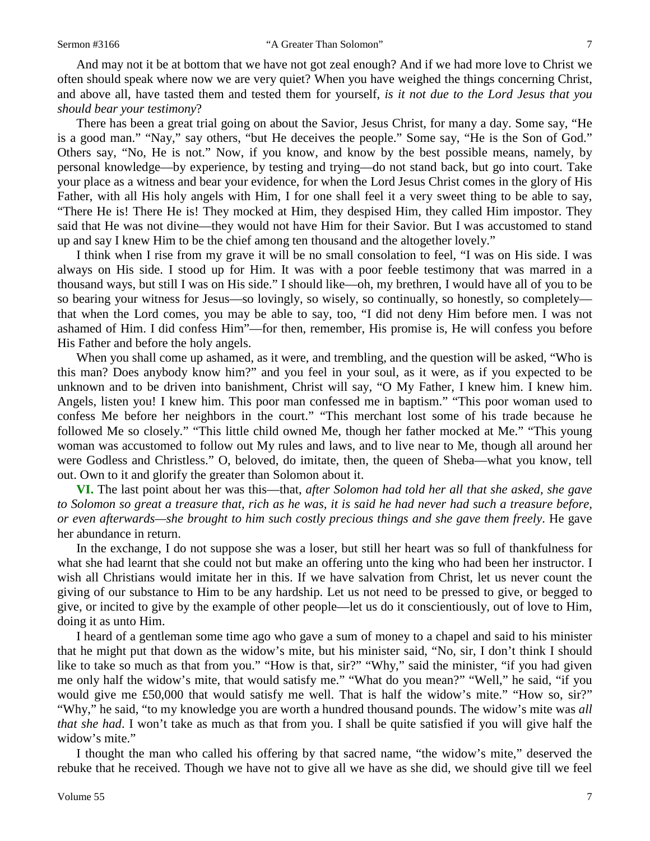And may not it be at bottom that we have not got zeal enough? And if we had more love to Christ we often should speak where now we are very quiet? When you have weighed the things concerning Christ, and above all, have tasted them and tested them for yourself, *is it not due to the Lord Jesus that you should bear your testimony*?

There has been a great trial going on about the Savior, Jesus Christ, for many a day. Some say, "He is a good man." "Nay," say others, "but He deceives the people." Some say, "He is the Son of God." Others say, "No, He is not." Now, if you know, and know by the best possible means, namely, by personal knowledge—by experience, by testing and trying—do not stand back, but go into court. Take your place as a witness and bear your evidence, for when the Lord Jesus Christ comes in the glory of His Father, with all His holy angels with Him, I for one shall feel it a very sweet thing to be able to say, "There He is! There He is! They mocked at Him, they despised Him, they called Him impostor. They said that He was not divine—they would not have Him for their Savior. But I was accustomed to stand up and say I knew Him to be the chief among ten thousand and the altogether lovely."

I think when I rise from my grave it will be no small consolation to feel, "I was on His side. I was always on His side. I stood up for Him. It was with a poor feeble testimony that was marred in a thousand ways, but still I was on His side." I should like—oh, my brethren, I would have all of you to be so bearing your witness for Jesus—so lovingly, so wisely, so continually, so honestly, so completely that when the Lord comes, you may be able to say, too, "I did not deny Him before men. I was not ashamed of Him. I did confess Him"—for then, remember, His promise is, He will confess you before His Father and before the holy angels.

When you shall come up ashamed, as it were, and trembling, and the question will be asked, "Who is this man? Does anybody know him?" and you feel in your soul, as it were, as if you expected to be unknown and to be driven into banishment, Christ will say, "O My Father, I knew him. I knew him. Angels, listen you! I knew him. This poor man confessed me in baptism." "This poor woman used to confess Me before her neighbors in the court." "This merchant lost some of his trade because he followed Me so closely." "This little child owned Me, though her father mocked at Me." "This young woman was accustomed to follow out My rules and laws, and to live near to Me, though all around her were Godless and Christless." O, beloved, do imitate, then, the queen of Sheba—what you know, tell out. Own to it and glorify the greater than Solomon about it.

**VI.** The last point about her was this—that, *after Solomon had told her all that she asked, she gave to Solomon so great a treasure that, rich as he was, it is said he had never had such a treasure before, or even afterwards—she brought to him such costly precious things and she gave them freely*. He gave her abundance in return.

In the exchange, I do not suppose she was a loser, but still her heart was so full of thankfulness for what she had learnt that she could not but make an offering unto the king who had been her instructor. I wish all Christians would imitate her in this. If we have salvation from Christ, let us never count the giving of our substance to Him to be any hardship. Let us not need to be pressed to give, or begged to give, or incited to give by the example of other people—let us do it conscientiously, out of love to Him, doing it as unto Him.

I heard of a gentleman some time ago who gave a sum of money to a chapel and said to his minister that he might put that down as the widow's mite, but his minister said, "No, sir, I don't think I should like to take so much as that from you." "How is that, sir?" "Why," said the minister, "if you had given me only half the widow's mite, that would satisfy me." "What do you mean?" "Well," he said, "if you would give me £50,000 that would satisfy me well. That is half the widow's mite." "How so, sir?" "Why," he said, "to my knowledge you are worth a hundred thousand pounds. The widow's mite was *all that she had*. I won't take as much as that from you. I shall be quite satisfied if you will give half the widow's mite."

I thought the man who called his offering by that sacred name, "the widow's mite," deserved the rebuke that he received. Though we have not to give all we have as she did, we should give till we feel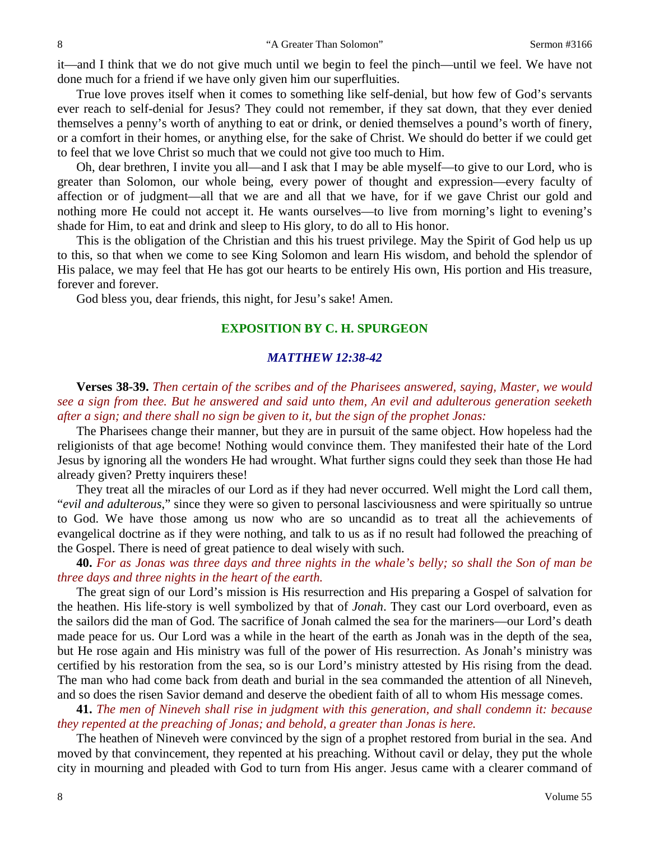it—and I think that we do not give much until we begin to feel the pinch—until we feel. We have not done much for a friend if we have only given him our superfluities.

True love proves itself when it comes to something like self-denial, but how few of God's servants ever reach to self-denial for Jesus? They could not remember, if they sat down, that they ever denied themselves a penny's worth of anything to eat or drink, or denied themselves a pound's worth of finery, or a comfort in their homes, or anything else, for the sake of Christ. We should do better if we could get to feel that we love Christ so much that we could not give too much to Him.

Oh, dear brethren, I invite you all—and I ask that I may be able myself—to give to our Lord, who is greater than Solomon, our whole being, every power of thought and expression—every faculty of affection or of judgment—all that we are and all that we have, for if we gave Christ our gold and nothing more He could not accept it. He wants ourselves—to live from morning's light to evening's shade for Him, to eat and drink and sleep to His glory, to do all to His honor.

This is the obligation of the Christian and this his truest privilege. May the Spirit of God help us up to this, so that when we come to see King Solomon and learn His wisdom, and behold the splendor of His palace, we may feel that He has got our hearts to be entirely His own, His portion and His treasure, forever and forever.

God bless you, dear friends, this night, for Jesu's sake! Amen.

#### **EXPOSITION BY C. H. SPURGEON**

#### *MATTHEW 12:38-42*

**Verses 38-39.** *Then certain of the scribes and of the Pharisees answered, saying, Master, we would see a sign from thee. But he answered and said unto them, An evil and adulterous generation seeketh after a sign; and there shall no sign be given to it, but the sign of the prophet Jonas:*

The Pharisees change their manner, but they are in pursuit of the same object. How hopeless had the religionists of that age become! Nothing would convince them. They manifested their hate of the Lord Jesus by ignoring all the wonders He had wrought. What further signs could they seek than those He had already given? Pretty inquirers these!

They treat all the miracles of our Lord as if they had never occurred. Well might the Lord call them, "*evil and adulterous*," since they were so given to personal lasciviousness and were spiritually so untrue to God. We have those among us now who are so uncandid as to treat all the achievements of evangelical doctrine as if they were nothing, and talk to us as if no result had followed the preaching of the Gospel. There is need of great patience to deal wisely with such.

**40.** *For as Jonas was three days and three nights in the whale's belly; so shall the Son of man be three days and three nights in the heart of the earth.*

The great sign of our Lord's mission is His resurrection and His preparing a Gospel of salvation for the heathen. His life-story is well symbolized by that of *Jonah*. They cast our Lord overboard, even as the sailors did the man of God. The sacrifice of Jonah calmed the sea for the mariners—our Lord's death made peace for us. Our Lord was a while in the heart of the earth as Jonah was in the depth of the sea, but He rose again and His ministry was full of the power of His resurrection. As Jonah's ministry was certified by his restoration from the sea, so is our Lord's ministry attested by His rising from the dead. The man who had come back from death and burial in the sea commanded the attention of all Nineveh, and so does the risen Savior demand and deserve the obedient faith of all to whom His message comes.

**41.** *The men of Nineveh shall rise in judgment with this generation, and shall condemn it: because they repented at the preaching of Jonas; and behold, a greater than Jonas is here.*

The heathen of Nineveh were convinced by the sign of a prophet restored from burial in the sea. And moved by that convincement, they repented at his preaching. Without cavil or delay, they put the whole city in mourning and pleaded with God to turn from His anger. Jesus came with a clearer command of